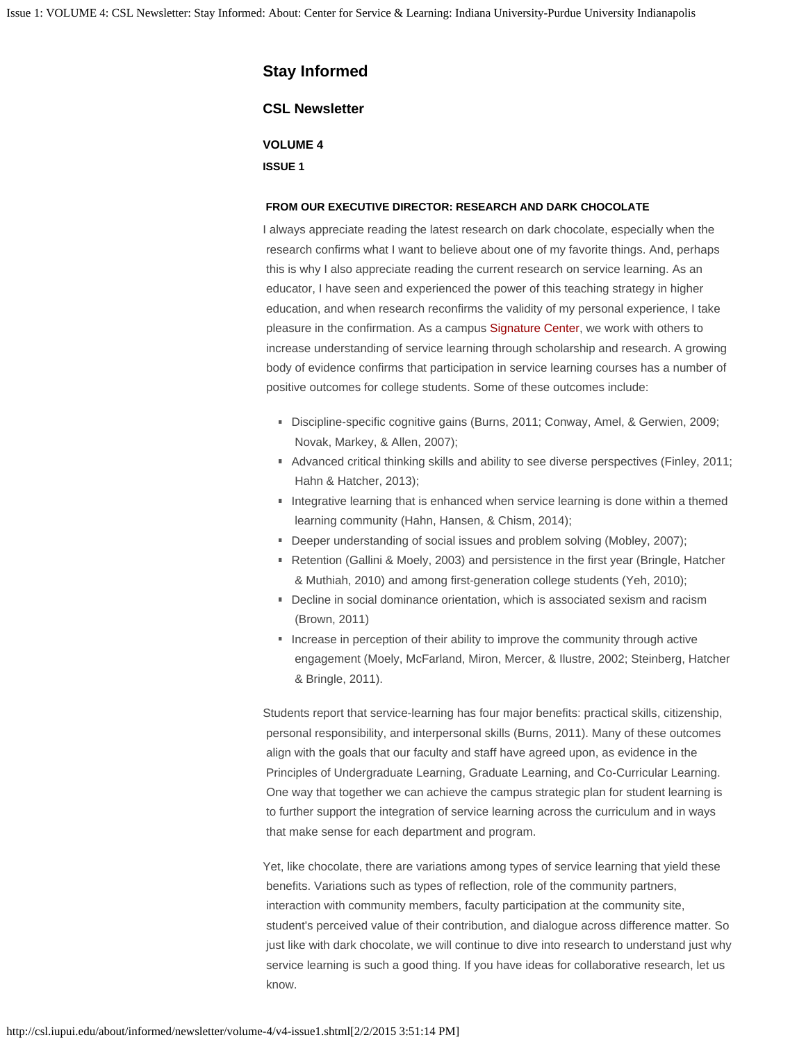# **Stay Informed**

### **CSL Newsletter**

**VOLUME 4**

**ISSUE 1**

#### **FROM OUR EXECUTIVE DIRECTOR: RESEARCH AND DARK CHOCOLATE**

I always appreciate reading the latest research on dark chocolate, especially when the research confirms what I want to believe about one of my favorite things. And, perhaps this is why I also appreciate reading the current research on service learning. As an educator, I have seen and experienced the power of this teaching strategy in higher education, and when research reconfirms the validity of my personal experience, I take pleasure in the confirmation. As a campus [Signature Center](http://academicaffairs.iupui.edu/FundingAwards/Funding/Signature-Centers), we work with others to increase understanding of service learning through scholarship and research. A growing body of evidence confirms that participation in service learning courses has a number of positive outcomes for college students. Some of these outcomes include:

- Discipline-specific cognitive gains (Burns, 2011; Conway, Amel, & Gerwien, 2009; Novak, Markey, & Allen, 2007);
- Advanced critical thinking skills and ability to see diverse perspectives (Finley, 2011; Hahn & Hatcher, 2013);
- Integrative learning that is enhanced when service learning is done within a themed learning community (Hahn, Hansen, & Chism, 2014);
- Deeper understanding of social issues and problem solving (Mobley, 2007);
- Retention (Gallini & Moely, 2003) and persistence in the first year (Bringle, Hatcher & Muthiah, 2010) and among first-generation college students (Yeh, 2010);
- Decline in social dominance orientation, which is associated sexism and racism (Brown, 2011)
- Increase in perception of their ability to improve the community through active engagement (Moely, McFarland, Miron, Mercer, & Ilustre, 2002; Steinberg, Hatcher & Bringle, 2011).

Students report that service-learning has four major benefits: practical skills, citizenship, personal responsibility, and interpersonal skills (Burns, 2011). Many of these outcomes align with the goals that our faculty and staff have agreed upon, as evidence in the Principles of Undergraduate Learning, Graduate Learning, and Co-Curricular Learning. One way that together we can achieve the campus strategic plan for student learning is to further support the integration of service learning across the curriculum and in ways that make sense for each department and program.

Yet, like chocolate, there are variations among types of service learning that yield these benefits. Variations such as types of reflection, role of the community partners, interaction with community members, faculty participation at the community site, student's perceived value of their contribution, and dialogue across difference matter. So just like with dark chocolate, we will continue to dive into research to understand just why service learning is such a good thing. If you have ideas for collaborative research, let us know.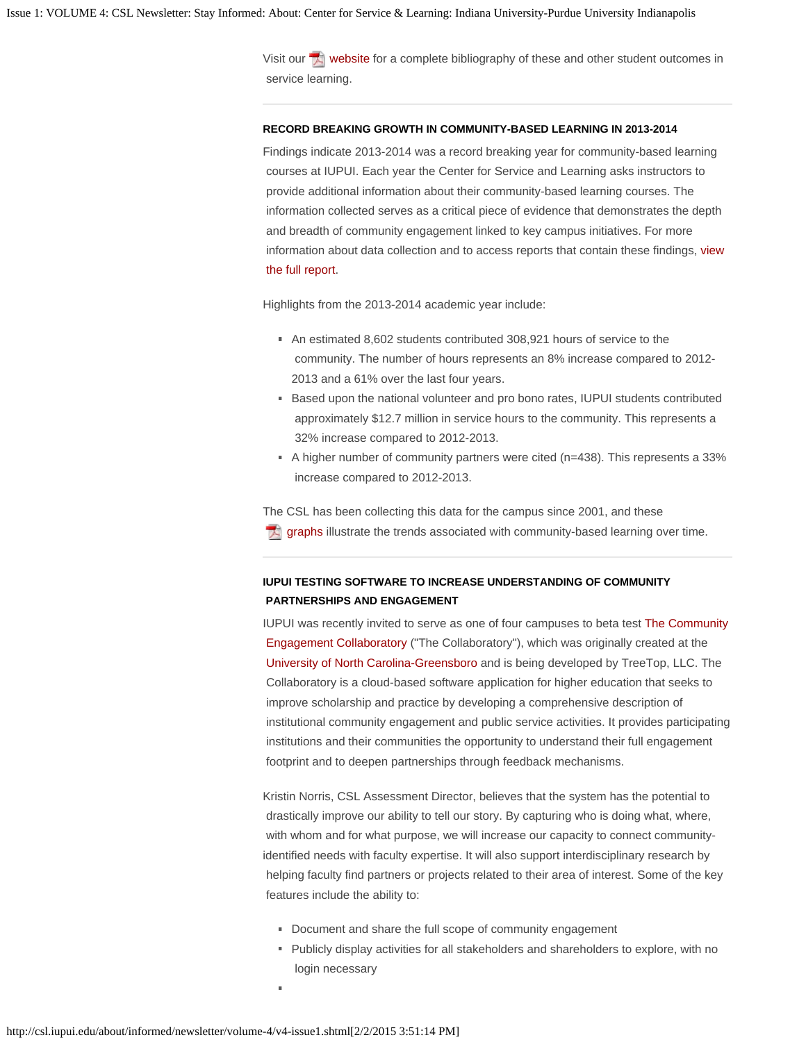Visit our  $\mathbb{Z}$  [website](http://csl.iupui.edu/doc/newsletter/oct-newsletter-references.pdf) for a complete bibliography of these and other student outcomes in service learning.

#### **RECORD BREAKING GROWTH IN COMMUNITY-BASED LEARNING IN 2013-2014**

Findings indicate 2013-2014 was a record breaking year for community-based learning courses at IUPUI. Each year the Center for Service and Learning asks instructors to provide additional information about their community-based learning courses. The information collected serves as a critical piece of evidence that demonstrates the depth and breadth of community engagement linked to key campus initiatives. For more information about data collection and to access reports that contain these findings, [view](http://csl.iupui.edu/about/campus-reports/index.shtml)  [the full report.](http://csl.iupui.edu/about/campus-reports/index.shtml)

Highlights from the 2013-2014 academic year include:

- An estimated 8,602 students contributed 308,921 hours of service to the community. The number of hours represents an 8% increase compared to 2012- 2013 and a 61% over the last four years.
- Based upon the national volunteer and pro bono rates, IUPUI students contributed approximately \$12.7 million in service hours to the community. This represents a 32% increase compared to 2012-2013.
- A higher number of community partners were cited ( $n=438$ ). This represents a 33% increase compared to 2012-2013.

The CSL has been collecting this data for the campus since 2001, and these [graphs](http://csl.iupui.edu/doc/newsletter/oct-newsletter-graphs.pdf) illustrate the trends associated with community-based learning over time. 内

# **IUPUI TESTING SOFTWARE TO INCREASE UNDERSTANDING OF COMMUNITY PARTNERSHIPS AND ENGAGEMENT**

IUPUI was recently invited to serve as one of four campuses to beta test [The Community](http://info.cecollaboratory.com/home)  [Engagement Collaboratory](http://info.cecollaboratory.com/home) ("The Collaboratory"), which was originally created at the [University of North Carolina-Greensboro](http://csl.iupui.edu/about/informed/newsletter/volume-4/www.uncg.edu) and is being developed by TreeTop, LLC. The Collaboratory is a cloud-based software application for higher education that seeks to improve scholarship and practice by developing a comprehensive description of institutional community engagement and public service activities. It provides participating institutions and their communities the opportunity to understand their full engagement footprint and to deepen partnerships through feedback mechanisms.

Kristin Norris, CSL Assessment Director, believes that the system has the potential to drastically improve our ability to tell our story. By capturing who is doing what, where, with whom and for what purpose, we will increase our capacity to connect communityidentified needs with faculty expertise. It will also support interdisciplinary research by helping faculty find partners or projects related to their area of interest. Some of the key features include the ability to:

- Document and share the full scope of community engagement
- Publicly display activities for all stakeholders and shareholders to explore, with no login necessary
-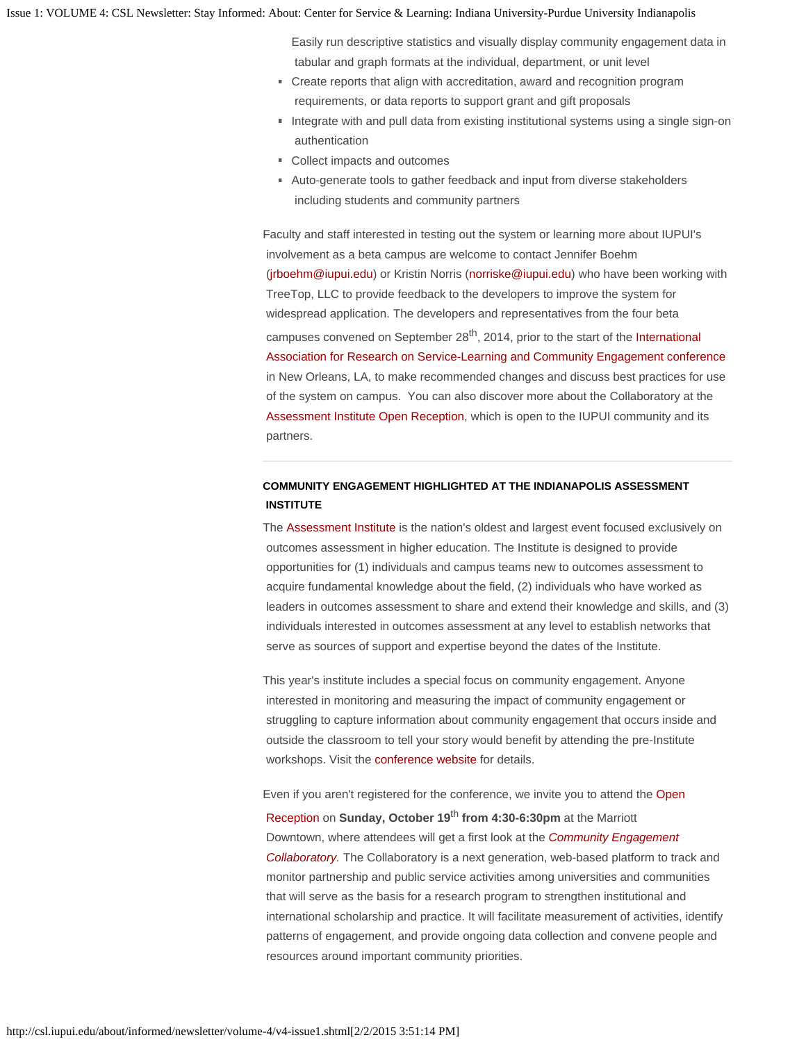Easily run descriptive statistics and visually display community engagement data in tabular and graph formats at the individual, department, or unit level

- Create reports that align with accreditation, award and recognition program requirements, or data reports to support grant and gift proposals
- Integrate with and pull data from existing institutional systems using a single sign-on authentication
- Collect impacts and outcomes
- Auto-generate tools to gather feedback and input from diverse stakeholders including students and community partners

Faculty and staff interested in testing out the system or learning more about IUPUI's involvement as a beta campus are welcome to contact Jennifer Boehm [\(jrboehm@iupui.edu](mailto:jrboehm@iupui.edu)) or Kristin Norris [\(norriske@iupui.edu](mailto:norriske@iupui.edu)) who have been working with TreeTop, LLC to provide feedback to the developers to improve the system for widespread application. The developers and representatives from the four beta campuses convened on September 28<sup>th</sup>, 2014, prior to the start of the [International](http://www.researchslce.org/conferences/)  [Association for Research on Service-Learning and Community Engagement conference](http://www.researchslce.org/conferences/) in New Orleans, LA, to make recommended changes and discuss best practices for use of the system on campus. You can also discover more about the Collaboratory at the [Assessment Institute Open Reception](http://events.iupui.edu/event/?event_id=11467), which is open to the IUPUI community and its partners.

### **COMMUNITY ENGAGEMENT HIGHLIGHTED AT THE INDIANAPOLIS ASSESSMENT INSTITUTE**

The [Assessment Institute](http://www.assessmentinstitute.iupui.edu/index.shtml) is the nation's oldest and largest event focused exclusively on outcomes assessment in higher education. The Institute is designed to provide opportunities for (1) individuals and campus teams new to outcomes assessment to acquire fundamental knowledge about the field, (2) individuals who have worked as leaders in outcomes assessment to share and extend their knowledge and skills, and (3) individuals interested in outcomes assessment at any level to establish networks that serve as sources of support and expertise beyond the dates of the Institute.

This year's institute includes a special focus on community engagement. Anyone interested in monitoring and measuring the impact of community engagement or struggling to capture information about community engagement that occurs inside and outside the classroom to tell your story would benefit by attending the pre-Institute workshops. Visit the [conference website](http://www.planning.iupui.edu/institute#Assessment%20Institute) for details.

Even if you aren't registered for the conference, we invite you to attend the [Open](http://events.iupui.edu/event/?event_id=11467#Opening%20Reception%20details%20)

 [Reception](http://events.iupui.edu/event/?event_id=11467#Opening%20Reception%20details%20) on **Sunday, October 19**th **from 4:30-6:30pm** at the Marriott Downtown, where attendees will get a first look at the *[Community Engagement](http://info.cecollaboratory.com/home)  [Collaboratory.](http://info.cecollaboratory.com/home)* The Collaboratory is a next generation, web-based platform to track and monitor partnership and public service activities among universities and communities that will serve as the basis for a research program to strengthen institutional and international scholarship and practice. It will facilitate measurement of activities, identify patterns of engagement, and provide ongoing data collection and convene people and resources around important community priorities.